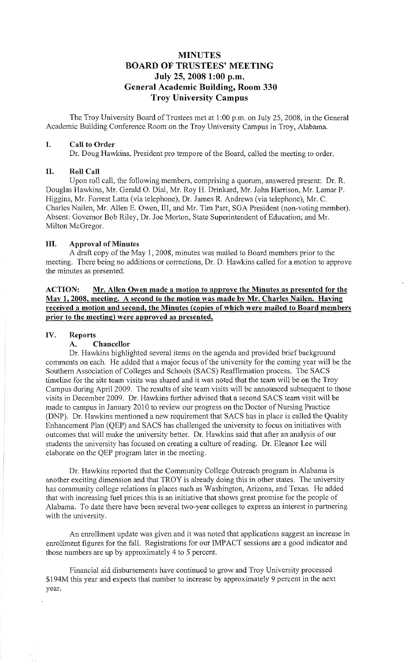# **MINUTES BOARD OF TRUSTEES' MEETING July 25, 2008 1:00 p.m. General Academic Building, Room 330 Troy University Campus**

The Troy University Board of Trustees met at I :00 p.m. on July 25, 2008, in the General Academic Building Conference Room on the Troy University Campus in Troy, Alabama.

#### **I. Call to Order**

Dr. Doug Hawkins, President pro tempore of the Board, called the meeting to order.

#### **II. RoIICall**

Upon roll call, the following members, comprising a quorum, answered present: Dr. R. Douglas Hawkins, Mr. Gerald 0. Dial, Mr. Roy H. Drinkard, Mr. John Harrison, Mr. Lamar P. Higgins, Mr. Forrest Latta (via telephone), Dr. James R. Andrews (via telephone), Mr. C. Charles Nailen, Mr. Allen E. Owen, III, and Mr. Tim Parr, SGA President (non-voting member). Absent: Governor Bob Riley, Dr. Joe Morton, State Superintendent of Education; and Mr. Milton McGregor.

#### **Ill. Approval of Minutes**

A draft copy of the May 1, 2008, minutes was mailed to Board members prior to the meeting. There being no additions or corrections, Dr. D. Hawkins called for a motion to approve the minutes as presented.

**ACTION: Mr. Allen Owen made a motion to approve the Minutes as presented for the May 1, 2008, meeting. A second to the motion was made by Mr. Charles Nailen. Having received a motion and second, the Minutes {copies of which were mailed to Board members prior to the meeting) were approved as presented.** 

#### **IV. Reports**

## **A. Chancellor**

Dr. Hawkins highlighted several items on the agenda and provided brief background comments on each. He added that a major focus of the university for the coming year will be the Southern Association of Colleges and Schools (SACS) Reaffirmation process. The SACS timeline for the site team visits was shared and it was noted that the team will be on the Troy Campus during April 2009. The results of site team visits will be announced subsequent to those visits in December 2009. Dr. Hawkins further advised that a second SACS team visit will be made to campus in January 2010 to review our progress on the Doctor of Nursing Practice (DNP). Dr. Hawkins mentioned a new requirement that SACS has in place is called the Quality Enhancement Plan (QEP) and SACS has challenged the university to focus on initiatives with outcomes that will make the university better. Dr. Hawkins said that after an analysis of our students the university has focused on creating a culture ofreading. Dr. Eleanor Lee will elaborate on the QEP program later in the meeting.

Dr. Hawkins reported that the Community College Outreach program in Alabama is another exciting dimension and that TROY is already doing this in other states. The university has community college relations in places such as Washington, Arizona, and Texas. He added that with increasing fuel prices this is an initiative that shows great promise for the people of Alabama. To date there have been several two-year colleges to express an interest in partnering with the university.

An emollment update was given and it was noted that applications suggest an increase in enrollment figures for the fall. Registrations for our IMPACT sessions are a good indicator and those numbers are up by approximately 4 to 5 percent.

Financial aid disbursements have continued to grow and Troy University processed \$l 94M this year and expects that number to increase by approximately 9 percent in the next year.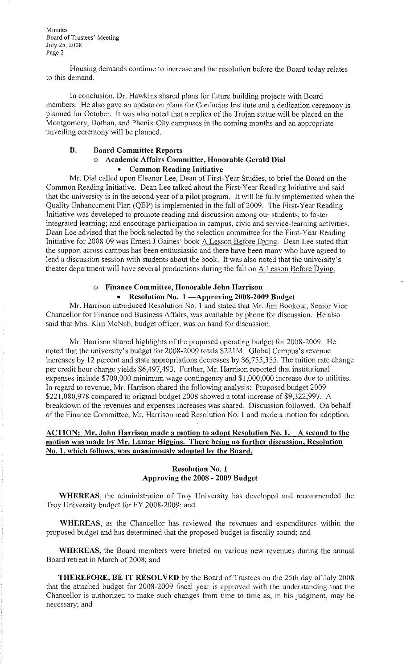**Minutes Board of Trustees' Meeting**  July 25, 2008 Page 2

Housing demands continue to increase and the resolution before the Board today relates to this demand.

In conclusion, Dr. Hawkins shared plans for future building projects with Board members. He also gave an update on plans for Confucius Institute and a dedication ceremony is planned for October. It was also noted that a replica of the Trojan statue will be placed on the Montgomery, Dothan, and Phenix City campuses in the coming months and an appropriate unveiling ceremony will be planned.

#### **B. Board Committee Reports**

## o **Academic Affairs Committee, Honorable Gerald Dial**  • **Common Reading Initiative**

Mr. Dial called upon Eleanor Lee, Dean of First-Year Studies, to brief the Board on the Common Reading Initiative. Dean Lee talked about the First-Year Reading Initiative and said that the university is in the second year of a pilot program. It will be fully implemented when the Quality Enhancement Plan (QEP) is implemented in the fall of 2009. The First-Year Reading Initiative was developed to promote reading and discussion among our students; to foster integrated learning; and encourage participation in campus, civic and service-learning activities. Dean Lee advised that the book selected by the selection committee for the First-Year Reading Initiative for 2008-09 was Ernest J Gaines' book A Lesson Before Dying. Dean Lee stated that the support across campus has been enthusiastic and there have been many who have agreed to lead a discussion session with students about the book. It was also noted that the university's theater department will have several productions during the fall on A Lesson Before Dying.

#### o **Finance Committee, Honorable John Harrison**

#### • **Resolution No. 1 -Approving 2008-2009 Budget**

Mr. Harrison introduced Resolution No. 1 and stated that Mr. Jim Bookout, Senior Vice Chancellor for Finance and Business Affairs, was available by phone for discussion. He also said that Mrs. Kim McNab, budget officer, was on hand for discussion.

Mr. Harrison shared highlights of the proposed operating budget for 2008-2009. He noted that the university's budget for 2008-2009 totals \$221M. Global Campus's revenue increases by 12 percent and state appropriations decreases by \$6,755,355. The tuition rate change per credit hour charge yields \$6,497,493. Further, Mr. Harrison reported that institutional expenses include \$700,000 minimum wage contingency and \$1,000,000 increase due to utilities. In regard to revenue, Mr. Harrison shared the following analysis: Proposed budget 2009 \$221,080,978 compared to original budget 2008 showed a total increase of \$9,322,997. A breakdown of the revenues and expenses increases was shared. Discussion followed. On behalf of the Finance Committee, Mr. Harrison read Resolution No. I and made a motion for adoption.

## **ACTION: Mr. John Harrison made a motion to adopt Resolution No. 1. A second to the motion was made by Mr. Lamar Higgins. There being no further discussion, Resolution No. 1, which follows, was unanimously adopted by the Board.**

#### **Resolution No. 1 Approving the 2008 - 2009 Budget**

**WHEREAS,** the administration of Troy University has developed and recommended the Troy University budget for FY 2008-2009; and

**WHEREAS,** as the Chancellor has reviewed the revenues and expenditures within the proposed budget and has determined that the proposed budget is fiscally sound; and

**WHEREAS,** the Board members were briefed on various new revenues during the annual Board retreat in March of 2008; and

**THEREFORE, BE IT RESOLVED** by the Board of Trustees on the 25th day of July 2008 that the attached budget for 2008-2009 fiscal year is approved with the understanding that the Chancellor is authorized to make such changes from time to time as, in his judgment, may be necessary; and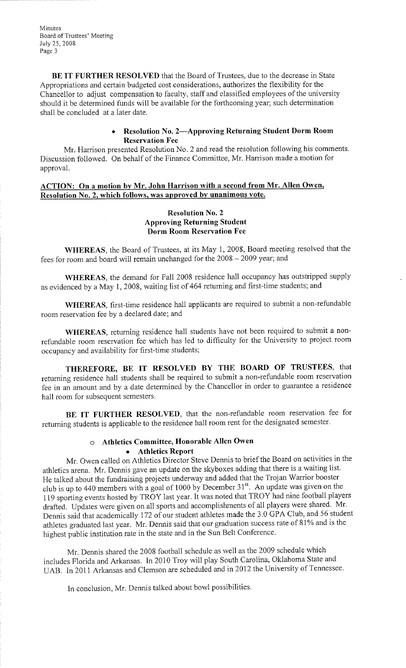**Minutes Board of Trustees' Meeting**  July 25, 2008 Page 3

**BE IT FURTHER RESOLVED** that the Board of Trustees, due to the decrease in State Appropriations and certain budgeted cost considerations, authorizes the flexibility for the Chancellor to adjust compensation to faculty, staff and classified employees of the university should it be determined funds will be available for the forthcoming year; such determination shall be concluded at a iater date.

## • **Resolution No. 2-Approving Returning Student Dorm Room Reservation Fee**

Mr. Harrison presented Resolution No. 2 and read the resolution following his comments. Discussion followed. On behalf of the Finance Committee, Mr. Harrison made a motion for approval.

## **ACTION: On a motion bv Mr. John Harrison with a second from Mr. Allen Owen, Resolution No. 2, which follows, was approved by unanimous vote.**

#### **Resolution No. 2 Approving Returning Student Dorm Room Reservation Fee**

**WHEREAS,** the Board of Trustees, at its May 1, 2008, Board meeting resolved that the fees for room and board will remain unchanged for the 2008 - 2009 year; and

**WHEREAS,** the demand for Fall 2008 residence hall occupancy has outstripped supply as evidenced by a May 1, 2008, waiting list of 464 returning and first-time students; and

**WHEREAS,** first-time residence hall applicants are required to submit a non-refundable room reservation fee by a declared date; and

**WHEREAS,** returning residence hall students have not been required to submit a nonrefundable room reservation fee which has led to difficulty for the University to project room occupancy and availability for first-time students;

**THEREFORE, BE IT RESOLVED BY THE BOARD OF TRUSTEES,** that returning residence hall students shall be required to submit a non-refundable room reservation fee in an amount and by a date determined by the Chancellor in order to guarantee a residence hall room for subsequent semesters.

**BE IT FURTHER RESOLVED,** that the non-refundable room reservation fee for returning students is applicable to the residence hall room rent for the designated semester.

# o **Athletics Committee, Honorable Allen Owen**

## • **Athletics Report**

Mr. Owen called on Athletics Director Steve Dennis to brief the Board on activities in the athletics arena. Mr. Dennis gave an update on the skyboxes adding that there is a waiting list. He talked about the fundraising projects underway and added that the Trojan Warrior booster club is up to 440 members with a goal of 1000 by December  $31^{st}$ . An update was given on the 119 sporting events hosted by TROY last year. It was noted that TROY had nine football players drafted. Updates were given on all sports and accomplishments of all players were shared. Mr. Dennis said that academically 172 of our student athletes made the 3.0 GPA Club, and 56 student athletes graduated last year. Mr. Dennis said that our graduation success rate of 81% and is the highest public institution rate in the state and in the Sun Belt Conference.

Mr. Dennis shared the 2008 football schedule as well as the 2009 schedule which includes Florida and Arkansas. In 2010 Troy will play South Carolina, Oklahoma State and UAB. In 2011 Arkansas and Clemson are scheduled and in 2012 the University of Tennessee.

In conclusion, Mr. Dennis talked about bowl possibilities.